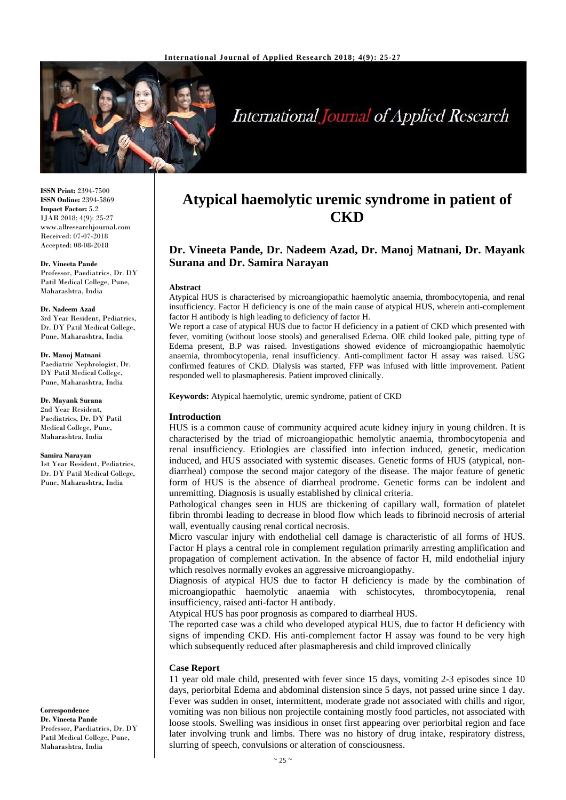

# **International Journal of Applied Research**

**ISSN Print:** 2394-7500 **ISSN Online:** 2394-5869 **Impact Factor:** 5.2 IJAR 2018; 4(9): 25-27 www.allresearchjournal.com Received: 07-07-2018 Accepted: 08-08-2018

### **Dr. Vineeta Pande**

Professor, Paediatrics, Dr. DY Patil Medical College, Pune, Maharashtra, India

#### **Dr. Nadeem Azad**

3rd Year Resident, Pediatrics, Dr. DY Patil Medical College, Pune, Maharashtra, India

#### **Dr. Manoj Matnani**

Paediatric Nephrologist, Dr. DY Patil Medical College, Pune, Maharashtra, India

### **Dr. Mayank Surana**

2nd Year Resident, Paediatrics, Dr. DY Patil Medical College, Pune, Maharashtra, India

#### **Samira Narayan**

1st Year Resident, Pediatrics, Dr. DY Patil Medical College, Pune, Maharashtra, India

**Correspondence Dr. Vineeta Pande** Professor, Paediatrics, Dr. DY Patil Medical College, Pune, Maharashtra, India

## **Atypical haemolytic uremic syndrome in patient of CKD**

### **Dr. Vineeta Pande, Dr. Nadeem Azad, Dr. Manoj Matnani, Dr. Mayank Surana and Dr. Samira Narayan**

### **Abstract**

Atypical HUS is characterised by microangiopathic haemolytic anaemia, thrombocytopenia, and renal insufficiency. Factor H deficiency is one of the main cause of atypical HUS, wherein anti-complement factor H antibody is high leading to deficiency of factor H.

We report a case of atypical HUS due to factor H deficiency in a patient of CKD which presented with fever, vomiting (without loose stools) and generalised Edema. OlE child looked pale, pitting type of Edema present, B.P was raised. Investigations showed evidence of microangiopathic haemolytic anaemia, thrombocytopenia, renal insufficiency. Anti-compliment factor H assay was raised. USG confirmed features of CKD. Dialysis was started, FFP was infused with little improvement. Patient responded well to plasmapheresis. Patient improved clinically.

**Keywords:** Atypical haemolytic, uremic syndrome, patient of CKD

### **Introduction**

HUS is a common cause of community acquired acute kidney injury in young children. It is characterised by the triad of microangiopathic hemolytic anaemia, thrombocytopenia and renal insufficiency. Etiologies are classified into infection induced, genetic, medication induced, and HUS associated with systemic diseases. Genetic forms of HUS (atypical, nondiarrheal) compose the second major category of the disease. The major feature of genetic form of HUS is the absence of diarrheal prodrome. Genetic forms can be indolent and unremitting. Diagnosis is usually established by clinical criteria.

Pathological changes seen in HUS are thickening of capillary wall, formation of platelet fibrin thrombi leading to decrease in blood flow which leads to fibrinoid necrosis of arterial wall, eventually causing renal cortical necrosis.

Micro vascular injury with endothelial cell damage is characteristic of all forms of HUS. Factor H plays a central role in complement regulation primarily arresting amplification and propagation of complement activation. In the absence of factor H, mild endothelial injury which resolves normally evokes an aggressive microangiopathy.

Diagnosis of atypical HUS due to factor H deficiency is made by the combination of microangiopathic haemolytic anaemia with schistocytes, thrombocytopenia, renal insufficiency, raised anti-factor H antibody.

Atypical HUS has poor prognosis as compared to diarrheal HUS.

The reported case was a child who developed atypical HUS, due to factor H deficiency with signs of impending CKD. His anti-complement factor H assay was found to be very high which subsequently reduced after plasmapheresis and child improved clinically

### **Case Report**

11 year old male child, presented with fever since 15 days, vomiting 2-3 episodes since 10 days, periorbital Edema and abdominal distension since 5 days, not passed urine since 1 day. Fever was sudden in onset, intermittent, moderate grade not associated with chills and rigor, vomiting was non bilious non projectile containing mostly food particles, not associated with loose stools. Swelling was insidious in onset first appearing over periorbital region and face later involving trunk and limbs. There was no history of drug intake, respiratory distress, slurring of speech, convulsions or alteration of consciousness.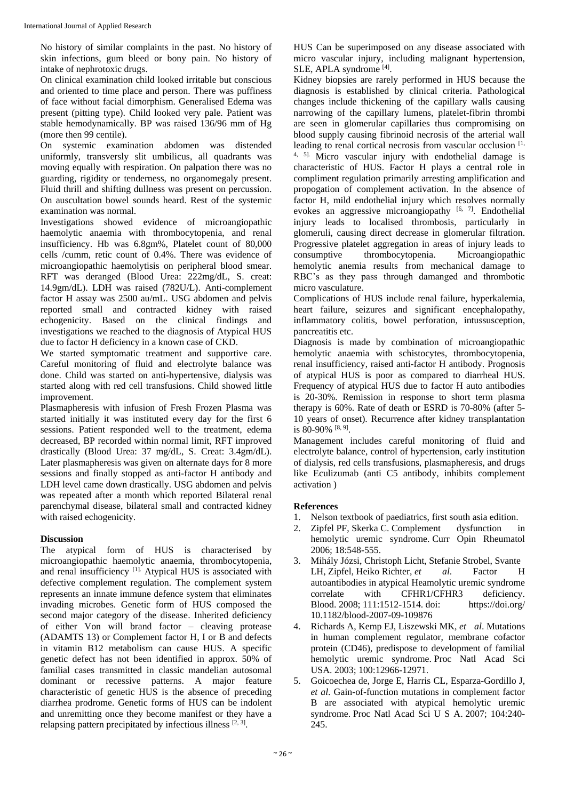No history of similar complaints in the past. No history of skin infections, gum bleed or bony pain. No history of intake of nephrotoxic drugs.

On clinical examination child looked irritable but conscious and oriented to time place and person. There was puffiness of face without facial dimorphism. Generalised Edema was present (pitting type). Child looked very pale. Patient was stable hemodynamically. BP was raised 136/96 mm of Hg (more then 99 centile).

On systemic examination abdomen was distended uniformly, transversly slit umbilicus, all quadrants was moving equally with respiration. On palpation there was no guarding, rigidity or tenderness, no organomegaly present. Fluid thrill and shifting dullness was present on percussion. On auscultation bowel sounds heard. Rest of the systemic examination was normal.

Investigations showed evidence of microangiopathic haemolytic anaemia with thrombocytopenia, and renal insufficiency. Hb was 6.8gm%, Platelet count of 80,000 cells /cumm, retic count of 0.4%. There was evidence of microangiopathic haemolytisis on peripheral blood smear. RFT was deranged (Blood Urea: 222mg/dL, S. creat: 14.9gm/dL). LDH was raised (782U/L). Anti-complement factor H assay was 2500 au/mL. USG abdomen and pelvis reported small and contracted kidney with raised echogenicity. Based on the clinical findings and investigations we reached to the diagnosis of Atypical HUS due to factor H deficiency in a known case of CKD.

We started symptomatic treatment and supportive care. Careful monitoring of fluid and electrolyte balance was done. Child was started on anti-hypertensive, dialysis was started along with red cell transfusions. Child showed little improvement.

Plasmapheresis with infusion of Fresh Frozen Plasma was started initially it was instituted every day for the first 6 sessions. Patient responded well to the treatment, edema decreased, BP recorded within normal limit, RFT improved drastically (Blood Urea: 37 mg/dL, S. Creat: 3.4gm/dL). Later plasmapheresis was given on alternate days for 8 more sessions and finally stopped as anti-factor H antibody and LDH level came down drastically. USG abdomen and pelvis was repeated after a month which reported Bilateral renal parenchymal disease, bilateral small and contracted kidney with raised echogenicity.

### **Discussion**

The atypical form of HUS is characterised by microangiopathic haemolytic anaemia, thrombocytopenia, and renal insufficiency [1]. Atypical HUS is associated with defective complement regulation. The complement system represents an innate immune defence system that eliminates invading microbes. Genetic form of HUS composed the second major category of the disease. Inherited deficiency of either Von will brand factor – cleaving protease (ADAMTS 13) or Complement factor H, I or B and defects in vitamin B12 metabolism can cause HUS. A specific genetic defect has not been identified in approx. 50% of familial cases transmitted in classic mandelian autosomal dominant or recessive patterns. A major feature characteristic of genetic HUS is the absence of preceding diarrhea prodrome. Genetic forms of HUS can be indolent and unremitting once they become manifest or they have a relapsing pattern precipitated by infectious illness  $[2, 3]$ .

HUS Can be superimposed on any disease associated with micro vascular injury, including malignant hypertension, SLE, APLA syndrome<sup>[4]</sup>.

Kidney biopsies are rarely performed in HUS because the diagnosis is established by clinical criteria. Pathological changes include thickening of the capillary walls causing narrowing of the capillary lumens, platelet-fibrin thrombi are seen in glomerular capillaries thus compromising on blood supply causing fibrinoid necrosis of the arterial wall leading to renal cortical necrosis from vascular occlusion [1, 4, 5]. Micro vascular injury with endothelial damage is characteristic of HUS. Factor H plays a central role in compliment regulation primarily arresting amplification and propogation of complement activation. In the absence of factor H, mild endothelial injury which resolves normally evokes an aggressive microangiopathy  $[6, 7]$ . Endothelial injury leads to localised thrombosis, particularly in glomeruli, causing direct decrease in glomerular filtration. Progressive platelet aggregation in areas of injury leads to consumptive thrombocytopenia. Microangiopathic hemolytic anemia results from mechanical damage to RBC's as they pass through damanged and thrombotic micro vasculature.

Complications of HUS include renal failure, hyperkalemia, heart failure, seizures and significant encephalopathy, inflammatory colitis, bowel perforation, intussusception, pancreatitis etc.

Diagnosis is made by combination of microangiopathic hemolytic anaemia with schistocytes, thrombocytopenia, renal insufficiency, raised anti-factor H antibody. Prognosis of atypical HUS is poor as compared to diarrheal HUS. Frequency of atypical HUS due to factor H auto antibodies is 20-30%. Remission in response to short term plasma therapy is 60%. Rate of death or ESRD is 70-80% (after 5- 10 years of onset). Recurrence after kidney transplantation is 80-90% [8, 9].

Management includes careful monitoring of fluid and electrolyte balance, control of hypertension, early institution of dialysis, red cells transfusions, plasmapheresis, and drugs like Eculizumab (anti C5 antibody, inhibits complement activation )

### **References**

- 1. Nelson textbook of paediatrics, first south asia edition.
- 2. Zipfel PF, Skerka C. Complement dysfunction in hemolytic uremic syndrome. Curr Opin Rheumatol 2006; 18:548-555.
- 3. Mihály Józsi, Christoph Licht, Stefanie Strobel, Svante LH, Zipfel, Heiko Richter, *et al*. Factor H autoantibodies in atypical Heamolytic uremic syndrome correlate with CFHR1/CFHR3 deficiency. Blood. 2008; 111:1512-1514. doi: https://doi.org/ 10.1182/blood-2007-09-109876
- 4. Richards A, Kemp EJ, Liszewski MK, *et al*. Mutations in human complement regulator, membrane cofactor protein (CD46), predispose to development of familial hemolytic uremic syndrome. Proc Natl Acad Sci USA. 2003; 100:12966-12971.
- 5. Goicoechea de, Jorge E, Harris CL, Esparza-Gordillo J, *et al*. Gain-of-function mutations in complement factor B are associated with atypical hemolytic uremic syndrome. Proc Natl Acad Sci U S A. 2007; 104:240- 245.